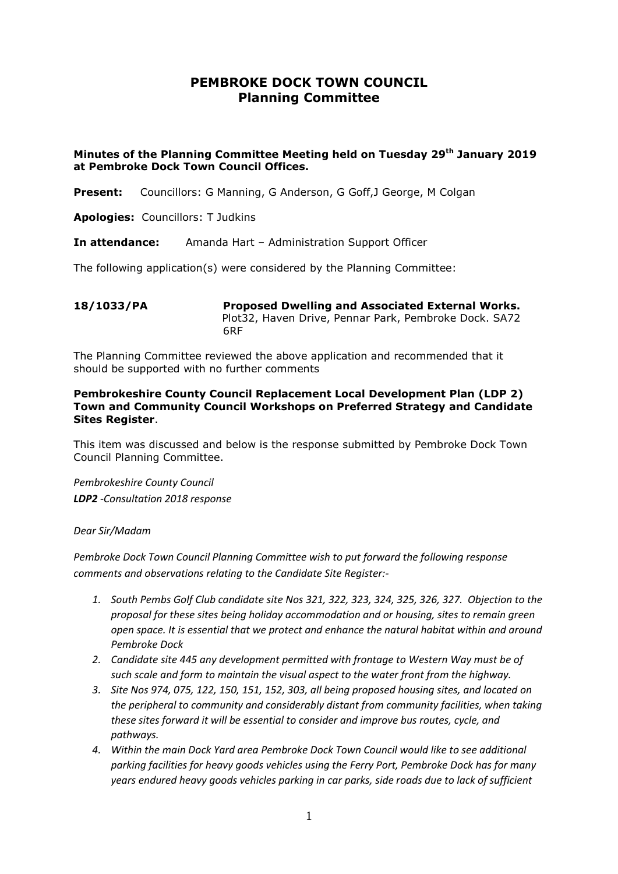## **PEMBROKE DOCK TOWN COUNCIL Planning Committee**

## **Minutes of the Planning Committee Meeting held on Tuesday 29th January 2019 at Pembroke Dock Town Council Offices.**

**Present:** Councillors: G Manning, G Anderson, G Goff,J George, M Colgan

**Apologies:** Councillors: T Judkins

**In attendance:** Amanda Hart – Administration Support Officer

The following application(s) were considered by the Planning Committee:

**18/1033/PA Proposed Dwelling and Associated External Works.**  Plot32, Haven Drive, Pennar Park, Pembroke Dock. SA72 6RF

The Planning Committee reviewed the above application and recommended that it should be supported with no further comments

## **Pembrokeshire County Council Replacement Local Development Plan (LDP 2) Town and Community Council Workshops on Preferred Strategy and Candidate Sites Register**.

This item was discussed and below is the response submitted by Pembroke Dock Town Council Planning Committee.

*Pembrokeshire County Council LDP2 -Consultation 2018 response* 

## *Dear Sir/Madam*

*Pembroke Dock Town Council Planning Committee wish to put forward the following response comments and observations relating to the Candidate Site Register:-*

- *1. South Pembs Golf Club candidate site Nos 321, 322, 323, 324, 325, 326, 327. Objection to the proposal for these sites being holiday accommodation and or housing, sites to remain green open space. It is essential that we protect and enhance the natural habitat within and around Pembroke Dock*
- *2. Candidate site 445 any development permitted with frontage to Western Way must be of such scale and form to maintain the visual aspect to the water front from the highway.*
- *3. Site Nos 974, 075, 122, 150, 151, 152, 303, all being proposed housing sites, and located on the peripheral to community and considerably distant from community facilities, when taking these sites forward it will be essential to consider and improve bus routes, cycle, and pathways.*
- *4. Within the main Dock Yard area Pembroke Dock Town Council would like to see additional parking facilities for heavy goods vehicles using the Ferry Port, Pembroke Dock has for many years endured heavy goods vehicles parking in car parks, side roads due to lack of sufficient*